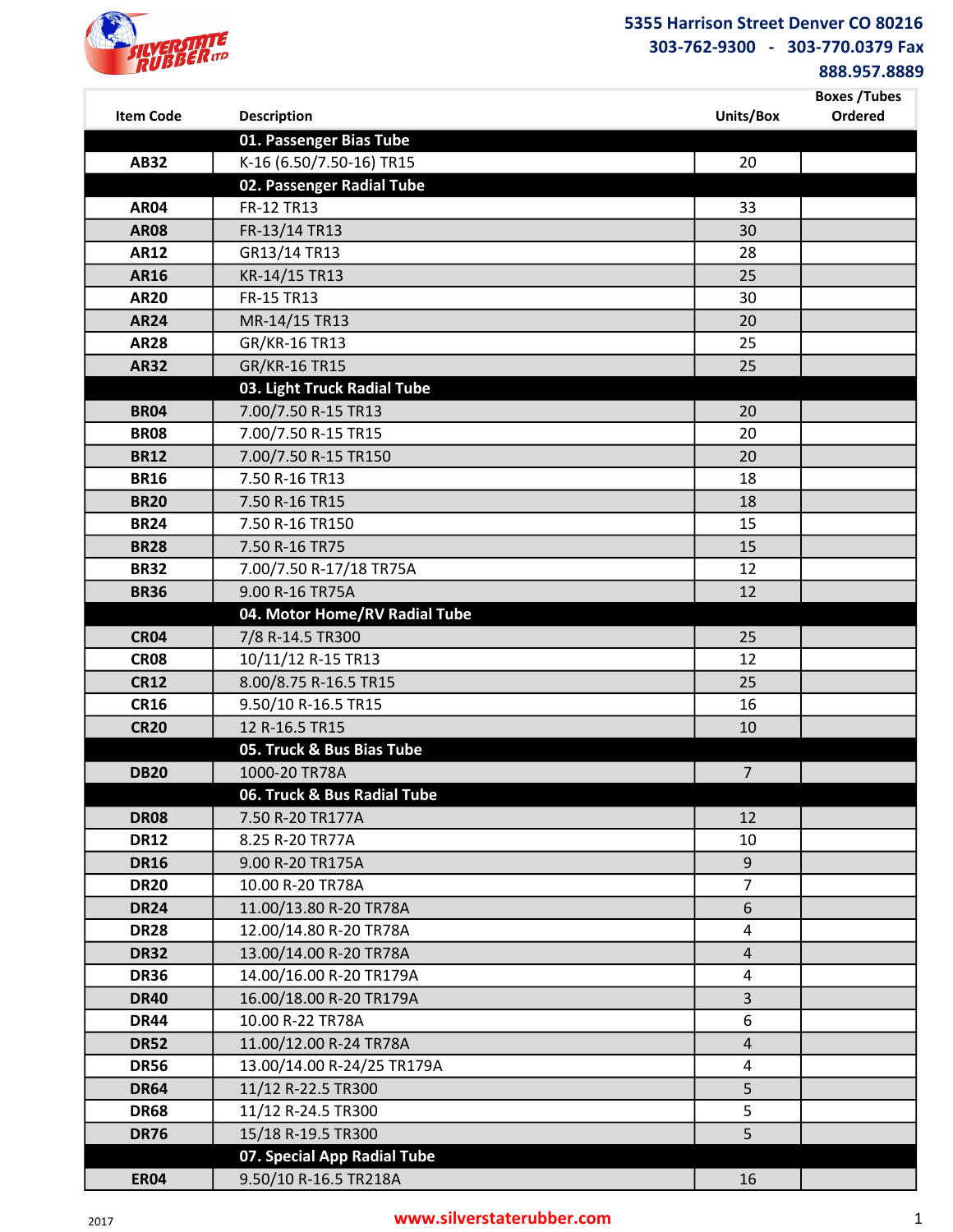

888.957.8889

| <b>Item Code</b>           | <b>Description</b>                  | Units/Box      | <b>Boxes /Tubes</b><br>Ordered |
|----------------------------|-------------------------------------|----------------|--------------------------------|
|                            | 01. Passenger Bias Tube             |                |                                |
| <b>AB32</b>                | K-16 (6.50/7.50-16) TR15            | 20             |                                |
|                            | 02. Passenger Radial Tube           |                |                                |
| <b>AR04</b>                | FR-12 TR13                          | 33             |                                |
| <b>AR08</b>                | FR-13/14 TR13                       | 30             |                                |
| <b>AR12</b>                | GR13/14 TR13                        | 28             |                                |
| <b>AR16</b>                | KR-14/15 TR13                       | 25             |                                |
| <b>AR20</b>                | FR-15 TR13                          | 30             |                                |
| <b>AR24</b>                | MR-14/15 TR13                       | 20             |                                |
| <b>AR28</b>                | GR/KR-16 TR13                       | 25             |                                |
| <b>AR32</b>                | GR/KR-16 TR15                       | 25             |                                |
|                            | 03. Light Truck Radial Tube         |                |                                |
| <b>BR04</b>                | 7.00/7.50 R-15 TR13                 | 20             |                                |
| <b>BR08</b>                | 7.00/7.50 R-15 TR15                 | 20             |                                |
| <b>BR12</b>                | 7.00/7.50 R-15 TR150                | 20             |                                |
| <b>BR16</b>                | 7.50 R-16 TR13                      | 18             |                                |
| <b>BR20</b>                | 7.50 R-16 TR15                      | 18             |                                |
| <b>BR24</b>                | 7.50 R-16 TR150                     | 15             |                                |
| <b>BR28</b>                | 7.50 R-16 TR75                      | 15             |                                |
| <b>BR32</b>                | 7.00/7.50 R-17/18 TR75A             | 12             |                                |
| <b>BR36</b>                | 9.00 R-16 TR75A                     | 12             |                                |
|                            | 04. Motor Home/RV Radial Tube       |                |                                |
| <b>CR04</b>                | 7/8 R-14.5 TR300                    | 25             |                                |
| <b>CR08</b>                | 10/11/12 R-15 TR13                  | 12             |                                |
| <b>CR12</b>                | 8.00/8.75 R-16.5 TR15               | 25             |                                |
| <b>CR16</b>                | 9.50/10 R-16.5 TR15                 | 16             |                                |
| <b>CR20</b>                | 12 R-16.5 TR15                      | 10             |                                |
|                            | 05. Truck & Bus Bias Tube           |                |                                |
| <b>DB20</b>                | 1000-20 TR78A                       | $\overline{7}$ |                                |
|                            | 06. Truck & Bus Radial Tube         | 12             |                                |
| <b>DR08</b><br><b>DR12</b> | 7.50 R-20 TR177A<br>8.25 R-20 TR77A | 10             |                                |
| <b>DR16</b>                | 9.00 R-20 TR175A                    | 9              |                                |
| <b>DR20</b>                | 10.00 R-20 TR78A                    | $\overline{7}$ |                                |
| <b>DR24</b>                | 11.00/13.80 R-20 TR78A              | 6              |                                |
| <b>DR28</b>                | 12.00/14.80 R-20 TR78A              | $\overline{4}$ |                                |
| <b>DR32</b>                | 13.00/14.00 R-20 TR78A              | $\overline{4}$ |                                |
| <b>DR36</b>                | 14.00/16.00 R-20 TR179A             | $\overline{a}$ |                                |
| <b>DR40</b>                | 16.00/18.00 R-20 TR179A             | $\overline{3}$ |                                |
| <b>DR44</b>                | 10.00 R-22 TR78A                    | 6              |                                |
| <b>DR52</b>                | 11.00/12.00 R-24 TR78A              | $\overline{4}$ |                                |
| <b>DR56</b>                | 13.00/14.00 R-24/25 TR179A          | 4              |                                |
| <b>DR64</b>                | 11/12 R-22.5 TR300                  | 5              |                                |
| <b>DR68</b>                | 11/12 R-24.5 TR300                  | 5              |                                |
| <b>DR76</b>                | 15/18 R-19.5 TR300                  | 5              |                                |
|                            | 07. Special App Radial Tube         |                |                                |
| <b>ER04</b>                | 9.50/10 R-16.5 TR218A               | 16             |                                |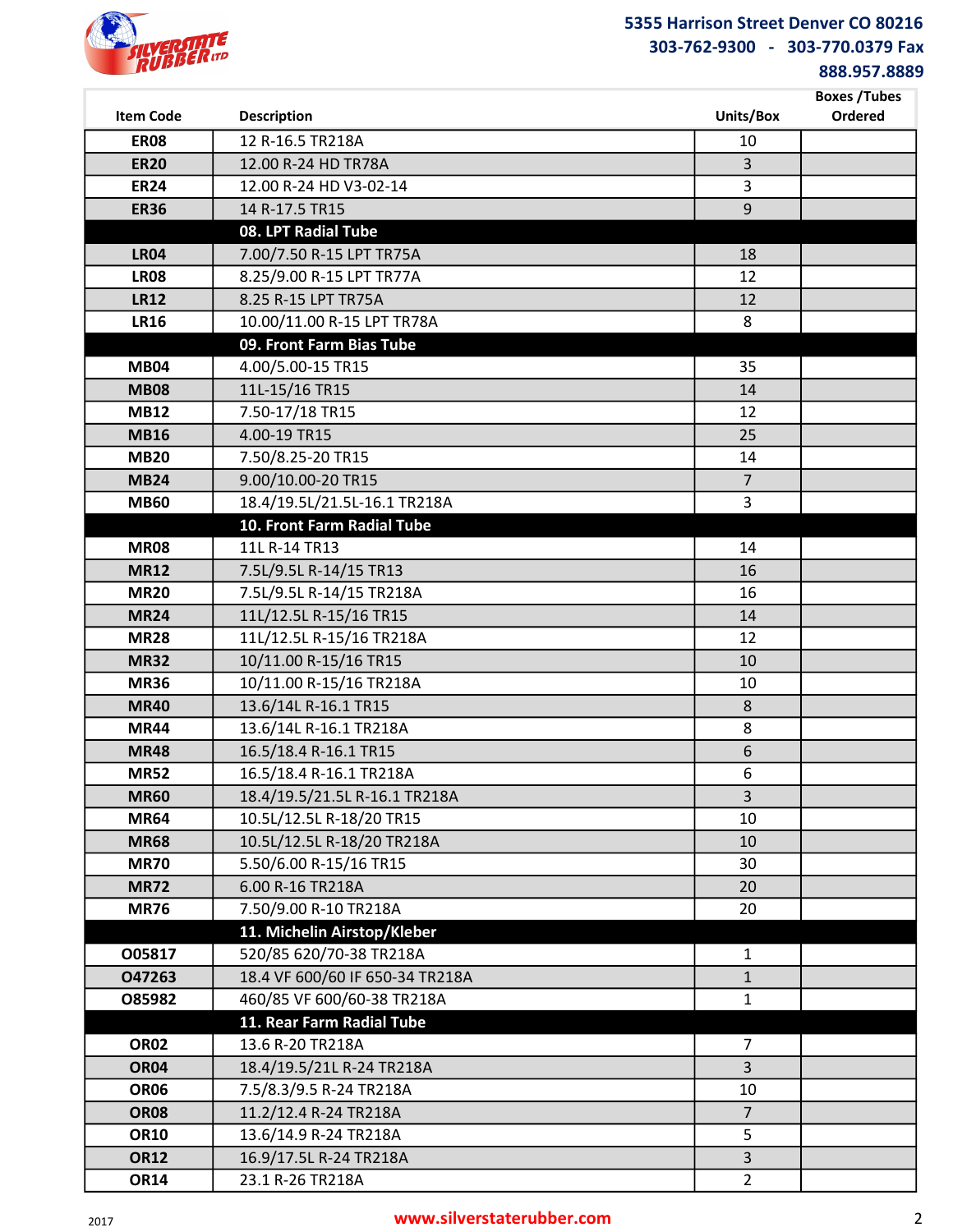

888.957.8889

|                  |                                 |                         | <b>Boxes /Tubes</b> |
|------------------|---------------------------------|-------------------------|---------------------|
| <b>Item Code</b> | <b>Description</b>              | Units/Box               | Ordered             |
| <b>ER08</b>      | 12 R-16.5 TR218A                | 10                      |                     |
| <b>ER20</b>      | 12.00 R-24 HD TR78A             | $\overline{3}$          |                     |
| <b>ER24</b>      | 12.00 R-24 HD V3-02-14          | $\overline{3}$          |                     |
| <b>ER36</b>      | 14 R-17.5 TR15                  | $\mathsf 9$             |                     |
|                  | 08. LPT Radial Tube             |                         |                     |
| <b>LR04</b>      | 7.00/7.50 R-15 LPT TR75A        | 18                      |                     |
| <b>LR08</b>      | 8.25/9.00 R-15 LPT TR77A        | 12                      |                     |
| <b>LR12</b>      | 8.25 R-15 LPT TR75A             | 12                      |                     |
| <b>LR16</b>      | 10.00/11.00 R-15 LPT TR78A      | 8                       |                     |
|                  | 09. Front Farm Bias Tube        |                         |                     |
| <b>MB04</b>      | 4.00/5.00-15 TR15               | 35                      |                     |
| <b>MB08</b>      | 11L-15/16 TR15                  | 14                      |                     |
| <b>MB12</b>      | 7.50-17/18 TR15                 | 12                      |                     |
| <b>MB16</b>      | 4.00-19 TR15                    | 25                      |                     |
| <b>MB20</b>      | 7.50/8.25-20 TR15               | 14                      |                     |
| <b>MB24</b>      | 9.00/10.00-20 TR15              | $\overline{7}$          |                     |
| <b>MB60</b>      | 18.4/19.5L/21.5L-16.1 TR218A    | $\overline{\mathbf{3}}$ |                     |
|                  | 10. Front Farm Radial Tube      |                         |                     |
| <b>MR08</b>      | 11L R-14 TR13                   | 14                      |                     |
| <b>MR12</b>      | 7.5L/9.5L R-14/15 TR13          | 16                      |                     |
| <b>MR20</b>      | 7.5L/9.5L R-14/15 TR218A        | 16                      |                     |
| <b>MR24</b>      | 11L/12.5L R-15/16 TR15          | 14                      |                     |
| <b>MR28</b>      | 11L/12.5L R-15/16 TR218A        | 12                      |                     |
| <b>MR32</b>      | 10/11.00 R-15/16 TR15           | 10                      |                     |
| <b>MR36</b>      | 10/11.00 R-15/16 TR218A         | 10                      |                     |
| <b>MR40</b>      | 13.6/14L R-16.1 TR15            | $\,8\,$                 |                     |
| <b>MR44</b>      | 13.6/14L R-16.1 TR218A          | 8                       |                     |
| <b>MR48</b>      | 16.5/18.4 R-16.1 TR15           | 6                       |                     |
| <b>MR52</b>      | 16.5/18.4 R-16.1 TR218A         | 6                       |                     |
| <b>MR60</b>      | 18.4/19.5/21.5L R-16.1 TR218A   | 3                       |                     |
| <b>MR64</b>      | 10.5L/12.5L R-18/20 TR15        | 10                      |                     |
| <b>MR68</b>      | 10.5L/12.5L R-18/20 TR218A      | 10                      |                     |
| <b>MR70</b>      | 5.50/6.00 R-15/16 TR15          | 30                      |                     |
| <b>MR72</b>      | 6.00 R-16 TR218A                | 20                      |                     |
| <b>MR76</b>      | 7.50/9.00 R-10 TR218A           | 20                      |                     |
|                  | 11. Michelin Airstop/Kleber     |                         |                     |
| O05817           | 520/85 620/70-38 TR218A         | $\mathbf{1}$            |                     |
| 047263           | 18.4 VF 600/60 IF 650-34 TR218A | $\mathbf{1}$            |                     |
| O85982           | 460/85 VF 600/60-38 TR218A      | $\mathbf 1$             |                     |
|                  | 11. Rear Farm Radial Tube       |                         |                     |
| <b>OR02</b>      | 13.6 R-20 TR218A                | 7                       |                     |
| <b>OR04</b>      | 18.4/19.5/21L R-24 TR218A       | $\overline{3}$          |                     |
| <b>OR06</b>      | 7.5/8.3/9.5 R-24 TR218A         | 10                      |                     |
| <b>OR08</b>      | 11.2/12.4 R-24 TR218A           | $\overline{7}$          |                     |
| <b>OR10</b>      | 13.6/14.9 R-24 TR218A           | 5                       |                     |
| <b>OR12</b>      | 16.9/17.5L R-24 TR218A          | $\overline{3}$          |                     |
| <b>OR14</b>      | 23.1 R-26 TR218A                | $\overline{2}$          |                     |

### <sup>2017</sup> www.silverstaterubber.com 2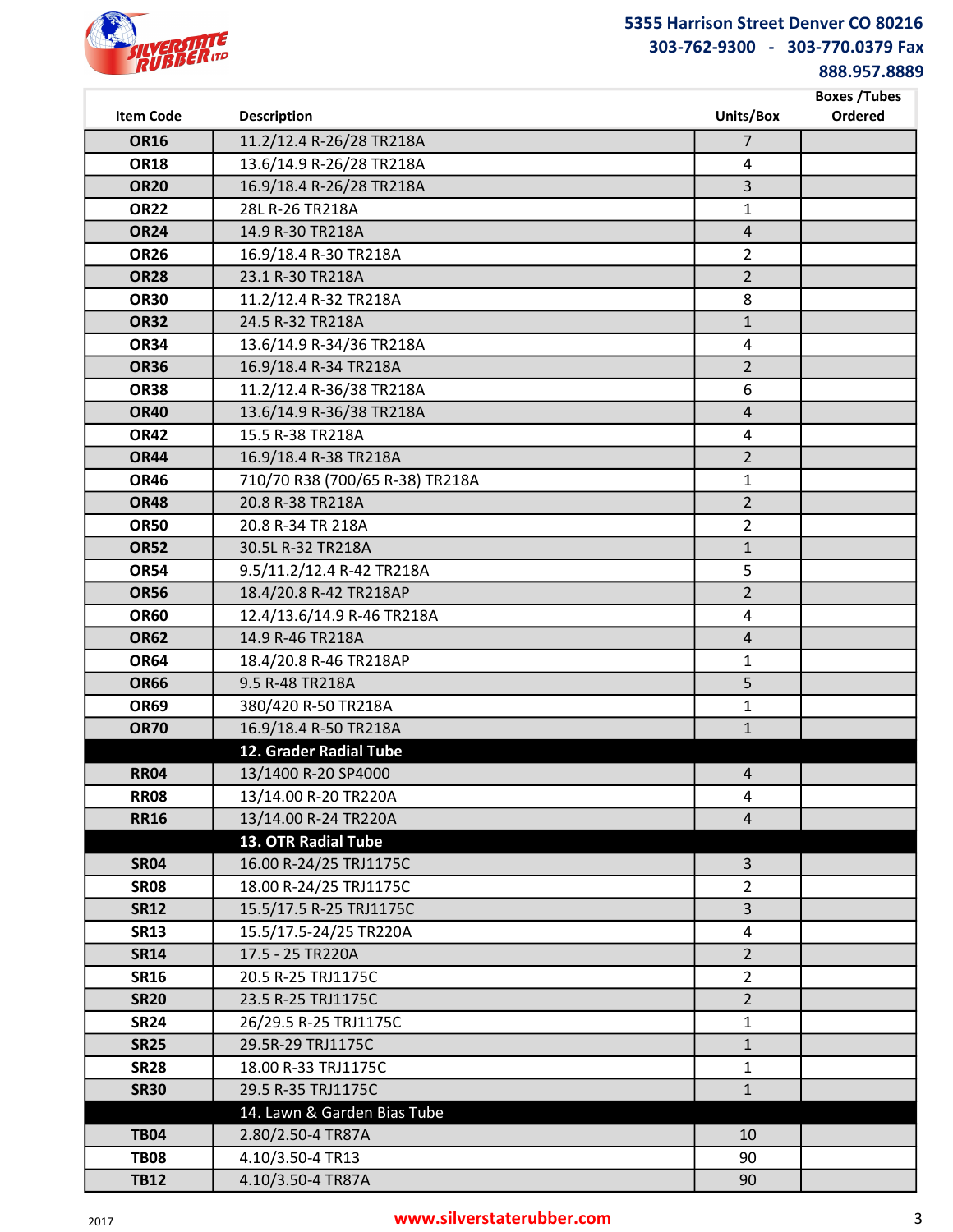

888.957.8889

| <b>Item Code</b>           | <b>Description</b>                                   | Units/Box                        | <b>Boxes /Tubes</b><br>Ordered |
|----------------------------|------------------------------------------------------|----------------------------------|--------------------------------|
|                            |                                                      |                                  |                                |
| <b>OR16</b>                | 11.2/12.4 R-26/28 TR218A                             | $\overline{7}$                   |                                |
| <b>OR18</b><br><b>OR20</b> | 13.6/14.9 R-26/28 TR218A<br>16.9/18.4 R-26/28 TR218A | $\overline{4}$<br>$\overline{3}$ |                                |
| <b>OR22</b>                | 28L R-26 TR218A                                      | 1                                |                                |
| <b>OR24</b>                | 14.9 R-30 TR218A                                     | $\sqrt{4}$                       |                                |
| <b>OR26</b>                | 16.9/18.4 R-30 TR218A                                | $\overline{2}$                   |                                |
| <b>OR28</b>                | 23.1 R-30 TR218A                                     | $\overline{2}$                   |                                |
| <b>OR30</b>                | 11.2/12.4 R-32 TR218A                                | 8                                |                                |
| <b>OR32</b>                | 24.5 R-32 TR218A                                     | $\mathbf{1}$                     |                                |
| <b>OR34</b>                | 13.6/14.9 R-34/36 TR218A                             | 4                                |                                |
| <b>OR36</b>                | 16.9/18.4 R-34 TR218A                                | $\overline{2}$                   |                                |
| <b>OR38</b>                | 11.2/12.4 R-36/38 TR218A                             | 6                                |                                |
| <b>OR40</b>                | 13.6/14.9 R-36/38 TR218A                             | $\overline{4}$                   |                                |
| <b>OR42</b>                | 15.5 R-38 TR218A                                     | 4                                |                                |
| <b>OR44</b>                | 16.9/18.4 R-38 TR218A                                | $\overline{2}$                   |                                |
| <b>OR46</b>                | 710/70 R38 (700/65 R-38) TR218A                      | $\mathbf{1}$                     |                                |
| <b>OR48</b>                | 20.8 R-38 TR218A                                     | $\overline{2}$                   |                                |
| <b>OR50</b>                | 20.8 R-34 TR 218A                                    | $\overline{2}$                   |                                |
| <b>OR52</b>                | 30.5L R-32 TR218A                                    | $\mathbf{1}$                     |                                |
| <b>OR54</b>                | 9.5/11.2/12.4 R-42 TR218A                            | 5                                |                                |
| <b>OR56</b>                | 18.4/20.8 R-42 TR218AP                               | $\overline{2}$                   |                                |
| <b>OR60</b>                | 12.4/13.6/14.9 R-46 TR218A                           | 4                                |                                |
| <b>OR62</b>                | 14.9 R-46 TR218A                                     | $\overline{4}$                   |                                |
| <b>OR64</b>                | 18.4/20.8 R-46 TR218AP                               | $\mathbf{1}$                     |                                |
| <b>OR66</b>                | 9.5 R-48 TR218A                                      | 5                                |                                |
| <b>OR69</b>                | 380/420 R-50 TR218A                                  | $\mathbf{1}$                     |                                |
| <b>OR70</b>                | 16.9/18.4 R-50 TR218A                                | $\mathbf{1}$                     |                                |
|                            | 12. Grader Radial Tube                               |                                  |                                |
| <b>RR04</b>                | 13/1400 R-20 SP4000                                  | 4                                |                                |
| <b>RR08</b>                | 13/14.00 R-20 TR220A                                 | 4                                |                                |
| <b>RR16</b>                | 13/14.00 R-24 TR220A                                 | $\overline{4}$                   |                                |
|                            | 13. OTR Radial Tube                                  |                                  |                                |
| <b>SR04</b>                | 16.00 R-24/25 TRJ1175C                               | $\mathsf{3}$                     |                                |
| <b>SR08</b><br><b>SR12</b> | 18.00 R-24/25 TRJ1175C<br>15.5/17.5 R-25 TRJ1175C    | $\overline{2}$<br>3              |                                |
| <b>SR13</b>                | 15.5/17.5-24/25 TR220A                               | $\pmb{4}$                        |                                |
| <b>SR14</b>                | 17.5 - 25 TR220A                                     | $\overline{2}$                   |                                |
| <b>SR16</b>                | 20.5 R-25 TRJ1175C                                   | $\overline{2}$                   |                                |
| <b>SR20</b>                | 23.5 R-25 TRJ1175C                                   | $\overline{2}$                   |                                |
| <b>SR24</b>                | 26/29.5 R-25 TRJ1175C                                | $\mathbf{1}$                     |                                |
| <b>SR25</b>                | 29.5R-29 TRJ1175C                                    | $\mathbf{1}$                     |                                |
| <b>SR28</b>                | 18.00 R-33 TRJ1175C                                  | $\mathbf{1}$                     |                                |
| <b>SR30</b>                | 29.5 R-35 TRJ1175C                                   | $\mathbf{1}$                     |                                |
|                            | 14. Lawn & Garden Bias Tube                          |                                  |                                |
| <b>TB04</b>                | 2.80/2.50-4 TR87A                                    | 10                               |                                |
| <b>TB08</b>                | 4.10/3.50-4 TR13                                     | 90                               |                                |
| <b>TB12</b>                | 4.10/3.50-4 TR87A                                    | 90                               |                                |

## <sup>2017</sup> www.silverstaterubber.com 3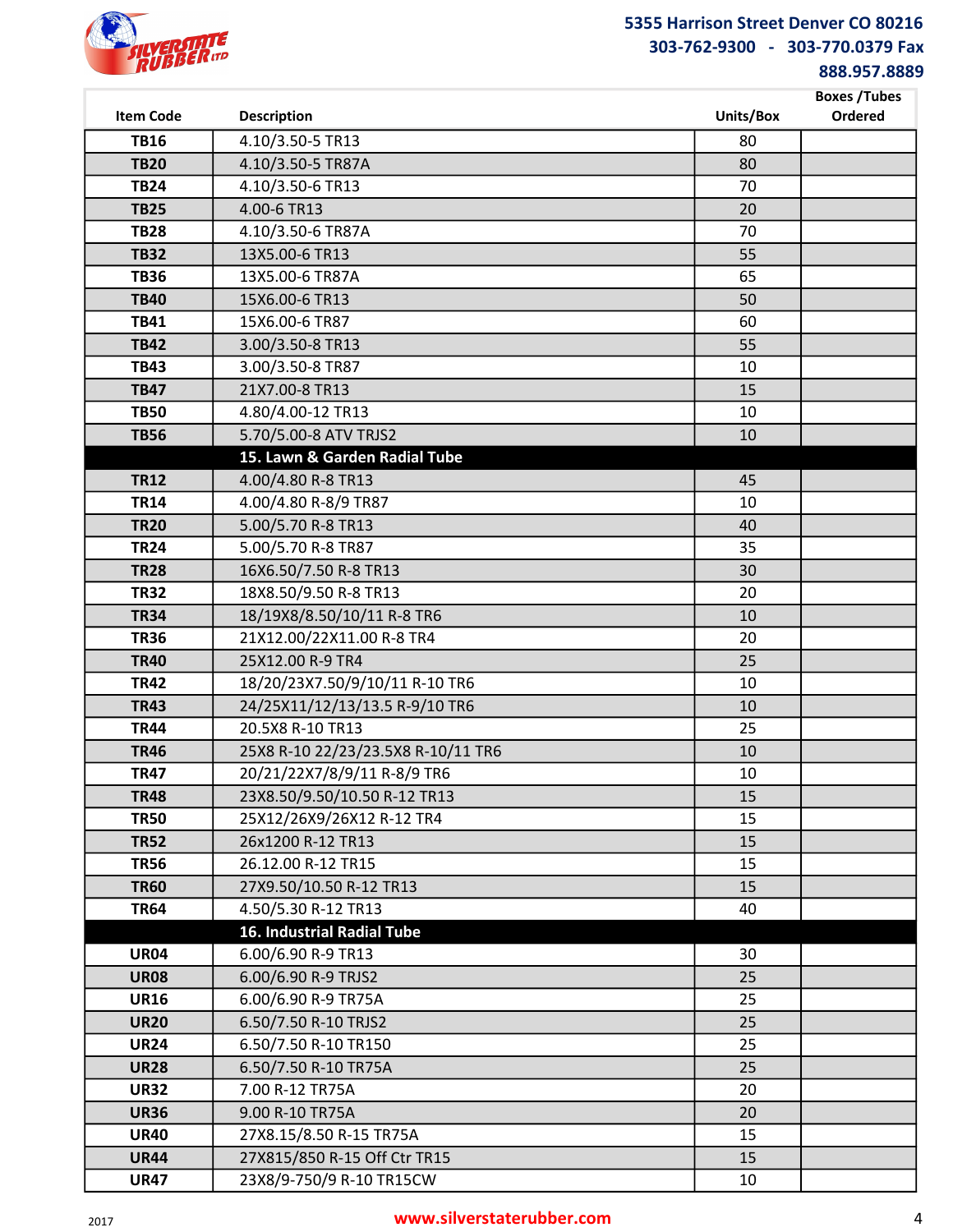

888.957.8889

|                            |                                            |           | <b>Boxes /Tubes</b> |
|----------------------------|--------------------------------------------|-----------|---------------------|
| <b>Item Code</b>           | <b>Description</b>                         | Units/Box | Ordered             |
| <b>TB16</b>                | 4.10/3.50-5 TR13                           | 80        |                     |
| <b>TB20</b>                | 4.10/3.50-5 TR87A                          | 80        |                     |
| <b>TB24</b>                | 4.10/3.50-6 TR13                           | 70        |                     |
| <b>TB25</b>                | 4.00-6 TR13                                | 20        |                     |
| <b>TB28</b>                | 4.10/3.50-6 TR87A                          | 70        |                     |
| <b>TB32</b>                | 13X5.00-6 TR13                             | 55        |                     |
| <b>TB36</b>                | 13X5.00-6 TR87A                            | 65        |                     |
| <b>TB40</b>                | 15X6.00-6 TR13                             | 50        |                     |
| <b>TB41</b>                | 15X6.00-6 TR87                             | 60        |                     |
| <b>TB42</b>                | 3.00/3.50-8 TR13                           | 55        |                     |
| <b>TB43</b>                | 3.00/3.50-8 TR87                           | 10        |                     |
| <b>TB47</b>                | 21X7.00-8 TR13                             | 15        |                     |
| <b>TB50</b>                | 4.80/4.00-12 TR13                          | 10        |                     |
| <b>TB56</b>                | 5.70/5.00-8 ATV TRJS2                      | 10        |                     |
|                            | 15. Lawn & Garden Radial Tube              |           |                     |
| <b>TR12</b><br><b>TR14</b> | 4.00/4.80 R-8 TR13<br>4.00/4.80 R-8/9 TR87 | 45<br>10  |                     |
| <b>TR20</b>                | 5.00/5.70 R-8 TR13                         | 40        |                     |
| <b>TR24</b>                | 5.00/5.70 R-8 TR87                         | 35        |                     |
| <b>TR28</b>                | 16X6.50/7.50 R-8 TR13                      | 30        |                     |
| <b>TR32</b>                | 18X8.50/9.50 R-8 TR13                      | 20        |                     |
| <b>TR34</b>                | 18/19X8/8.50/10/11 R-8 TR6                 | 10        |                     |
| <b>TR36</b>                | 21X12.00/22X11.00 R-8 TR4                  | 20        |                     |
| <b>TR40</b>                | 25X12.00 R-9 TR4                           | 25        |                     |
| <b>TR42</b>                | 18/20/23X7.50/9/10/11 R-10 TR6             | 10        |                     |
| <b>TR43</b>                | 24/25X11/12/13/13.5 R-9/10 TR6             | 10        |                     |
| <b>TR44</b>                | 20.5X8 R-10 TR13                           | 25        |                     |
| <b>TR46</b>                | 25X8 R-10 22/23/23.5X8 R-10/11 TR6         | 10        |                     |
| <b>TR47</b>                | 20/21/22X7/8/9/11 R-8/9 TR6                | 10        |                     |
| <b>TR48</b>                | 23X8.50/9.50/10.50 R-12 TR13               | 15        |                     |
| <b>TR50</b>                | 25X12/26X9/26X12 R-12 TR4                  | 15        |                     |
| <b>TR52</b>                | 26x1200 R-12 TR13                          | 15        |                     |
| <b>TR56</b>                | 26.12.00 R-12 TR15                         | 15        |                     |
| <b>TR60</b>                | 27X9.50/10.50 R-12 TR13                    | 15        |                     |
| <b>TR64</b>                | 4.50/5.30 R-12 TR13                        | 40        |                     |
|                            | 16. Industrial Radial Tube                 |           |                     |
| <b>UR04</b>                | 6.00/6.90 R-9 TR13                         | 30        |                     |
| <b>UR08</b>                | 6.00/6.90 R-9 TRJS2                        | 25        |                     |
| <b>UR16</b>                | 6.00/6.90 R-9 TR75A                        | 25        |                     |
| <b>UR20</b>                | 6.50/7.50 R-10 TRJS2                       | 25        |                     |
| <b>UR24</b>                | 6.50/7.50 R-10 TR150                       | 25        |                     |
| <b>UR28</b>                | 6.50/7.50 R-10 TR75A                       | 25        |                     |
| <b>UR32</b>                | 7.00 R-12 TR75A                            | 20        |                     |
| <b>UR36</b>                | 9.00 R-10 TR75A                            | 20        |                     |
| <b>UR40</b>                | 27X8.15/8.50 R-15 TR75A                    | 15        |                     |
| <b>UR44</b>                | 27X815/850 R-15 Off Ctr TR15               | 15        |                     |
| <b>UR47</b>                | 23X8/9-750/9 R-10 TR15CW                   | 10        |                     |

### <sup>2017</sup> www.silverstaterubber.com 4